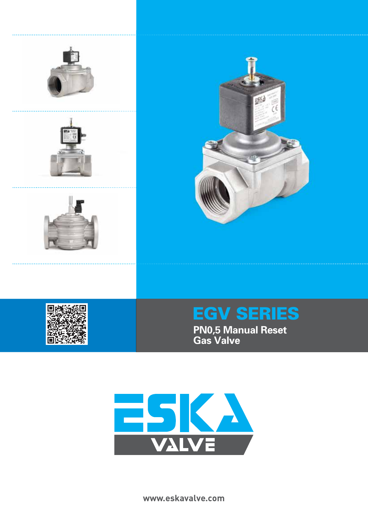





# EGV SERIES

**PN0,5 Manual Reset Gas Valve**



**www.eskavalve.com**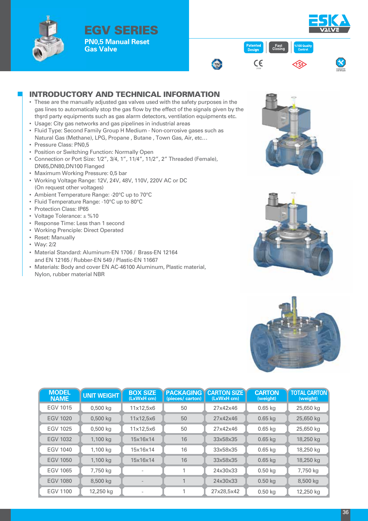

EGV SERIES **PN0,5 Manual Reset Gas Valve Gas Valve FINU, Case Inc. The Case Inc. The Case Inc. The Case Inc. The Case Inc. The Case Inc. The Case Inc. The Case Inc. The Case Inc. The Case Inc. The Case Inc. The Case Inc. The Case Inc. The Case Inc.** 



### INTRODUCTORY AND TECHNICAL INFORMATION

- These are the manually adjusted gas valves used with the safety purposes in the gas lines to automatically stop the gas flow by the effect of the signals given by the thşrd party equipments such as gas alarm detectors, ventilation equipments etc.
- Usage: City gas networks and gas pipelines in industrial areas
- Fluid Type: Second Family Group H Medium ‐ Non‐corrosive gases such as Natural Gas (Methane), LPG, Propane , Butane , Town Gas, Air, etc…
- Pressure Class: PN0,5
- Position or Switching Function: Normally Open
- Connection or Port Size: 1/2", 3/4, 1", 11/4", 11/2", 2" Threaded (Female), DN65,DN80,DN100 Flanged
- Maximum Working Pressure: 0,5 bar
- Working Voltage Range: 12V, 24V, 48V, 110V, 220V AC or DC (On request other voltages)
- Ambient Temperature Range: ‐20°C up to 70°C
- Fluid Temperature Range: ‐10°C up to 80°C
- Protection Class: IP65
- Voltage Tolerance: ± %10
- Response Time: Less than 1 second
- Working Prenciple: Direct Operated
- Reset: Manually
- Way: 2/2
- Material Standard: Aluminum-EN 1706 / Brass-EN 12164 and EN 12165 / Rubber-EN 549 / Plastic-EN 11667
- Materials: Body and cover EN AC-46100 Aluminum, Plastic material, Nylon, rubber material NBR







| <b>MODEL</b><br><b>NAME</b> | <b>UNIT WEIGHT</b> | <b>BOX SIZE</b><br>(LxWxH cm) | <b>PACKAGING</b><br>(pieces/carton) | <b>CARTON SIZE</b><br>(LxWxH cm) | <b>CARTON</b><br>(weight) | <b>TOTAL CARTON</b><br>(weight) |
|-----------------------------|--------------------|-------------------------------|-------------------------------------|----------------------------------|---------------------------|---------------------------------|
| <b>EGV 1015</b>             | $0,500$ kg         | 11x12,5x6                     | 50                                  | 27x42x46                         | $0.65$ kg                 | 25,650 kg                       |
| <b>EGV 1020</b>             | $0,500$ kg         | 11x12,5x6                     | 50                                  | 27x42x46                         | $0.65$ kg                 | 25,650 kg                       |
| <b>EGV 1025</b>             | $0,500$ kg         | 11x12,5x6                     | 50                                  | 27x42x46                         | $0.65$ kg                 | 25,650 kg                       |
| <b>EGV 1032</b>             | 1,100 kg           | 15x16x14                      | 16                                  | 33x58x35                         | $0.65$ kg                 | 18,250 kg                       |
| <b>EGV 1040</b>             | 1,100 kg           | 15x16x14                      | 16                                  | 33x58x35                         | $0.65$ kg                 | 18,250 kg                       |
| <b>EGV 1050</b>             | 1,100 kg           | 15x16x14                      | 16                                  | 33x58x35                         | $0.65$ kg                 | 18,250 kg                       |
| <b>EGV 1065</b>             | 7,750 kg           | $\qquad \qquad$               |                                     | 24x30x33                         | $0.50$ kg                 | 7,750 kg                        |
| <b>EGV 1080</b>             | 8,500 kg           |                               |                                     | 24x30x33                         | $0.50$ kg                 | 8,500 kg                        |
| EGV 1100                    | 12,250 kg          | $\overline{\phantom{0}}$      |                                     | 27x28,5x42                       | $0.50$ kg                 | 12,250 kg                       |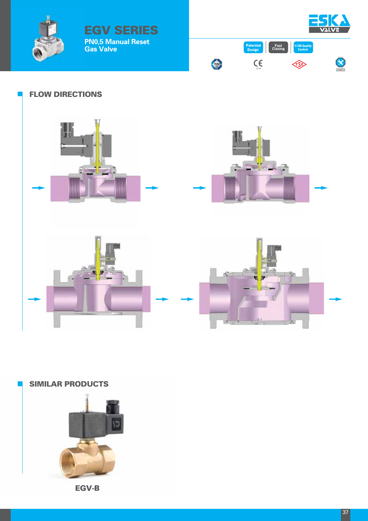



#### FLOW DIRECTIONS

EGV SERIES

**PN0,5 Manual Reset**

**Gas Valve**



## SIMILAR PRODUCTS



EGV-B